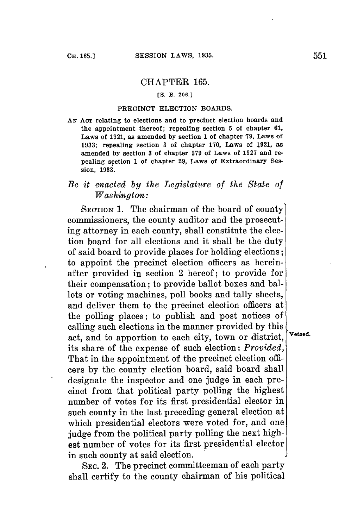## CHAPTER **165.**

## **[S.** B. **206.]**

## PRECINCT ELECTION BOARDS.

*AN* **Aor** relating to elections and to precinct election boards and the appointment thereof; repealing section **5** of chapter **61,** Laws of **1921,** as amended **by** section 1 of chapter **79,** Laws of **1933;** repealing section **3** of chapter **170,** Laws of **1921,** as amended **by** section **3** of chapter **279** of Laws of **1927** and repealing section **1** of chapter **29,** Laws of Extraordinary Session, 1933.

## *Be it enacted by the Legislature of the State of Washington:*

SECTION **1.** The chairman of the board **of** county commissioners, the county auditor and the prosecuting attorney in each county, shall constitute the election board for all elections and it shall be the duty of said board to provide places for holding elections; to appoint the precinct election officers as hereinafter provided in section 2 hereof; to provide for their compensation; to provide ballot boxes and ballots or voting machines, poll books and tally sheets, and deliver them to the precinct election officers at the polling places; to publish and post notices of calling such elections in the manner provided **by** this act, and to apportion to each city, town or district,  $V_{\text{etoed.}}$ its share of the expense of such election: *Provided,* That in the appointment of the precinct election officers **by** the county election board, said board shall designate the inspector and one **judge** in each precinct from that political party polling the highest number of votes for its first presidential elector in such county in the last preceding general election at which presidential electors were voted for, and one judge from the political party polling the next highest number of votes for its first presidential elector in such county at said election.

SEC. 2. The precinct committeeman of each party shall certify to the county chairman of his political